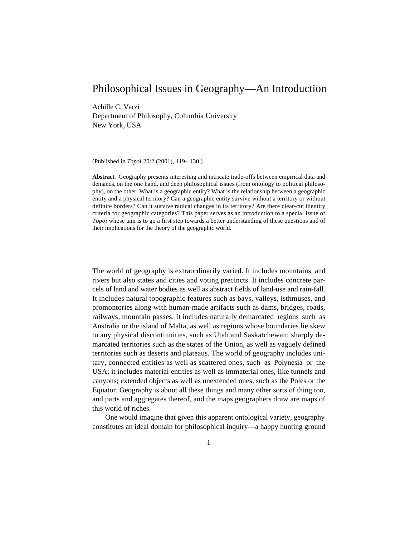# Philosophical Issues in Geography—An Introduction

Achille C. Varzi Department of Philosophy, Columbia University New York, USA

(Published in *Topoi* 20:2 (2001), 119– 130.)

**Abstract**. Geography presents interesting and intricate trade-offs between empirical data and demands, on the one hand, and deep philosophical issues (from ontology to political philosophy), on the other. What is a geographic entity? What is the relationship between a geographic entity and a physical territory? Can a geographic entity survive without a territory or without definite borders? Can it survive radical changes in its territory? Are there clear-cut identity criteria for geographic categories? This paper serves as an introduction to a special issue of *Topoi* whose aim is to go a first step towards a better understanding of these questions and of their implications for the theory of the geographic world.

The world of geography is extraordinarily varied. It includes mountains and rivers but also states and cities and voting precincts. It includes concrete parcels of land and water bodies as well as abstract fields of land-use and rain-fall. It includes natural topographic features such as bays, valleys, isthmuses, and promontories along with human-made artifacts such as dams, bridges, roads, railways, mountain passes. It includes naturally demarcated regions such as Australia or the island of Malta, as well as regions whose boundaries lie skew to any physical discontinuities, such as Utah and Saskatchewan; sharply demarcated territories such as the states of the Union, as well as vaguely defined territories such as deserts and plateaus. The world of geography includes unitary, connected entities as well as scattered ones, such as Polynesia or the USA; it includes material entities as well as immaterial ones, like tunnels and canyons; extended objects as well as unextended ones, such as the Poles or the Equator. Geography is about all these things and many other sorts of thing too, and parts and aggregates thereof, and the maps geographers draw are maps of this world of riches.

One would imagine that given this apparent ontological variety, geography constitutes an ideal domain for philosophical inquiry—a happy hunting ground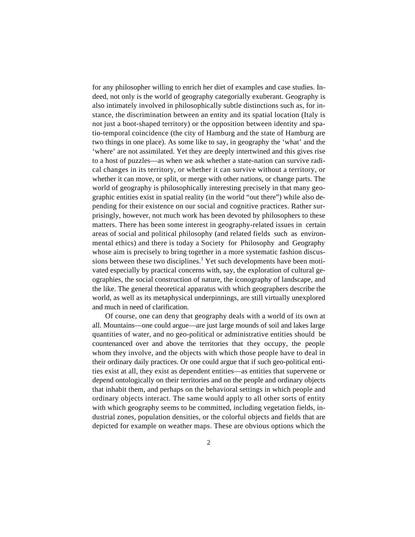for any philosopher willing to enrich her diet of examples and case studies. Indeed, not only is the world of geography categorially exuberant. Geography is also intimately involved in philosophically subtle distinctions such as, for instance, the discrimination between an entity and its spatial location (Italy is not just a boot-shaped territory) or the opposition between identity and spatio-temporal coincidence (the city of Hamburg and the state of Hamburg are two things in one place). As some like to say, in geography the 'what' and the 'where' are not assimilated. Yet they are deeply intertwined and this gives rise to a host of puzzles—as when we ask whether a state-nation can survive radical changes in its territory, or whether it can survive without a territory, or whether it can move, or split, or merge with other nations, or change parts. The world of geography is philosophically interesting precisely in that many geographic entities exist in spatial reality (in the world "out there") while also depending for their existence on our social and cognitive practices. Rather surprisingly, however, not much work has been devoted by philosophers to these matters. There has been some interest in geography-related issues in certain areas of social and political philosophy (and related fields such as environmental ethics) and there is today a Society for Philosophy and Geography whose aim is precisely to bring together in a more systematic fashion discussions between these two disciplines.<sup>1</sup> Yet such developments have been motivated especially by practical concerns with, say, the exploration of cultural geographies, the social construction of nature, the iconography of landscape, and the like. The general theoretical apparatus with which geographers describe the world, as well as its metaphysical underpinnings, are still virtually unexplored and much in need of clarification.

Of course, one can deny that geography deals with a world of its own at all. Mountains—one could argue—are just large mounds of soil and lakes large quantities of water, and no geo-political or administrative entities should be countenanced over and above the territories that they occupy, the people whom they involve, and the objects with which those people have to deal in their ordinary daily practices. Or one could argue that if such geo-political entities exist at all, they exist as dependent entities—as entities that supervene or depend ontologically on their territories and on the people and ordinary objects that inhabit them, and perhaps on the behavioral settings in which people and ordinary objects interact. The same would apply to all other sorts of entity with which geography seems to be committed, including vegetation fields, industrial zones, population densities, or the colorful objects and fields that are depicted for example on weather maps. These are obvious options which the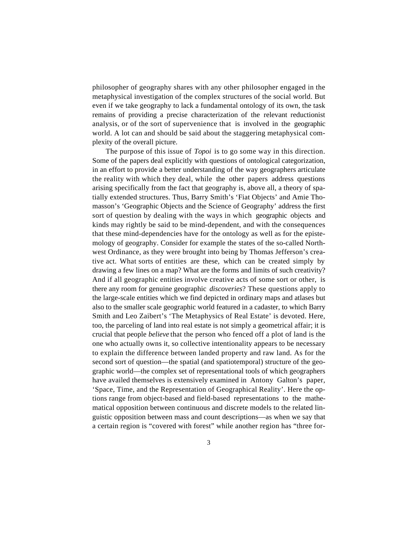philosopher of geography shares with any other philosopher engaged in the metaphysical investigation of the complex structures of the social world. But even if we take geography to lack a fundamental ontology of its own, the task remains of providing a precise characterization of the relevant reductionist analysis, or of the sort of supervenience that is involved in the geographic world. A lot can and should be said about the staggering metaphysical complexity of the overall picture.

The purpose of this issue of *Topoi* is to go some way in this direction. Some of the papers deal explicitly with questions of ontological categorization, in an effort to provide a better understanding of the way geographers articulate the reality with which they deal, while the other papers address questions arising specifically from the fact that geography is, above all, a theory of spatially extended structures. Thus, Barry Smith's 'Fiat Objects' and Amie Thomasson's 'Geographic Objects and the Science of Geography' address the first sort of question by dealing with the ways in which geographic objects and kinds may rightly be said to be mind-dependent, and with the consequences that these mind-dependencies have for the ontology as well as for the epistemology of geography. Consider for example the states of the so-called Northwest Ordinance, as they were brought into being by Thomas Jefferson's creative act. What sorts of entities are these, which can be created simply by drawing a few lines on a map? What are the forms and limits of such creativity? And if all geographic entities involve creative acts of some sort or other, is there any room for genuine geographic *discoveries*? These questions apply to the large-scale entities which we find depicted in ordinary maps and atlases but also to the smaller scale geographic world featured in a cadaster, to which Barry Smith and Leo Zaibert's 'The Metaphysics of Real Estate' is devoted. Here, too, the parceling of land into real estate is not simply a geometrical affair; it is crucial that people *believe* that the person who fenced off a plot of land is the one who actually owns it, so collective intentionality appears to be necessary to explain the difference between landed property and raw land. As for the second sort of question—the spatial (and spatiotemporal) structure of the geographic world—the complex set of representational tools of which geographers have availed themselves is extensively examined in Antony Galton's paper, 'Space, Time, and the Representation of Geographical Reality'. Here the options range from object-based and field-based representations to the mathematical opposition between continuous and discrete models to the related linguistic opposition between mass and count descriptions—as when we say that a certain region is "covered with forest" while another region has "three for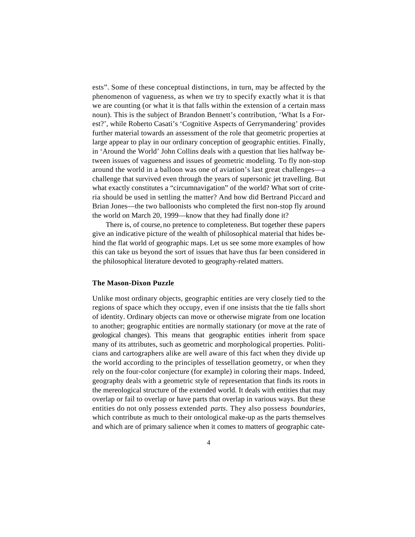ests". Some of these conceptual distinctions, in turn, may be affected by the phenomenon of vagueness, as when we try to specify exactly what it is that we are counting (or what it is that falls within the extension of a certain mass noun). This is the subject of Brandon Bennett's contribution, 'What Is a Forest?', while Roberto Casati's 'Cognitive Aspects of Gerrymandering' provides further material towards an assessment of the role that geometric properties at large appear to play in our ordinary conception of geographic entities. Finally, in 'Around the World' John Collins deals with a question that lies halfway between issues of vagueness and issues of geometric modeling. To fly non-stop around the world in a balloon was one of aviation's last great challenges—a challenge that survived even through the years of supersonic jet travelling. But what exactly constitutes a "circumnavigation" of the world? What sort of criteria should be used in settling the matter? And how did Bertrand Piccard and Brian Jones—the two balloonists who completed the first non-stop fly around the world on March 20, 1999—know that they had finally done it?

There is, of course, no pretence to completeness. But together these papers give an indicative picture of the wealth of philosophical material that hides behind the flat world of geographic maps. Let us see some more examples of how this can take us beyond the sort of issues that have thus far been considered in the philosophical literature devoted to geography-related matters.

## **The Mason-Dixon Puzzle**

Unlike most ordinary objects, geographic entities are very closely tied to the regions of space which they occupy, even if one insists that the tie falls short of identity. Ordinary objects can move or otherwise migrate from one location to another; geographic entities are normally stationary (or move at the rate of geological changes). This means that geographic entities inherit from space many of its attributes, such as geometric and morphological properties. Politicians and cartographers alike are well aware of this fact when they divide up the world according to the principles of tessellation geometry, or when they rely on the four-color conjecture (for example) in coloring their maps. Indeed, geography deals with a geometric style of representation that finds its roots in the mereological structure of the extended world. It deals with entities that may overlap or fail to overlap or have parts that overlap in various ways. But these entities do not only possess extended *parts*. They also possess *boundaries*, which contribute as much to their ontological make-up as the parts themselves and which are of primary salience when it comes to matters of geographic cate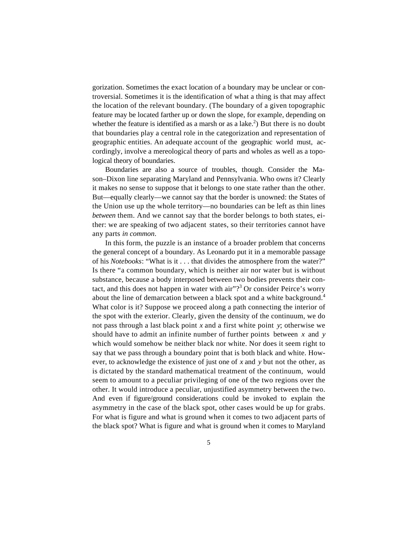gorization. Sometimes the exact location of a boundary may be unclear or controversial. Sometimes it is the identification of what a thing is that may affect the location of the relevant boundary. (The boundary of a given topographic feature may be located farther up or down the slope, for example, depending on whether the feature is identified as a marsh or as a lake.<sup>2</sup>) But there is no doubt that boundaries play a central role in the categorization and representation of geographic entities. An adequate account of the geographic world must, accordingly, involve a mereological theory of parts and wholes as well as a topological theory of boundaries.

Boundaries are also a source of troubles, though. Consider the Mason–Dixon line separating Maryland and Pennsylvania. Who owns it? Clearly it makes no sense to suppose that it belongs to one state rather than the other. But—equally clearly—we cannot say that the border is unowned: the States of the Union use up the whole territory—no boundaries can be left as thin lines *between* them. And we cannot say that the border belongs to both states, either: we are speaking of two adjacent states, so their territories cannot have any parts *in common*.

In this form, the puzzle is an instance of a broader problem that concerns the general concept of a boundary. As Leonardo put it in a memorable passage of his *Notebooks*: "What is it . . . that divides the atmosphere from the water?" Is there "a common boundary, which is neither air nor water but is without substance, because a body interposed between two bodies prevents their contact, and this does not happen in water with air"?<sup>3</sup> Or consider Peirce's worry about the line of demarcation between a black spot and a white background.<sup>4</sup> What color is it? Suppose we proceed along a path connecting the interior of the spot with the exterior. Clearly, given the density of the continuum, we do not pass through a last black point *x* and a first white point *y*; otherwise we should have to admit an infinite number of further points between *x* and *y* which would somehow be neither black nor white. Nor does it seem right to say that we pass through a boundary point that is both black and white. However, to acknowledge the existence of just one of *x* and *y* but not the other, as is dictated by the standard mathematical treatment of the continuum, would seem to amount to a peculiar privileging of one of the two regions over the other. It would introduce a peculiar, unjustified asymmetry between the two. And even if figure/ground considerations could be invoked to explain the asymmetry in the case of the black spot, other cases would be up for grabs. For what is figure and what is ground when it comes to two adjacent parts of the black spot? What is figure and what is ground when it comes to Maryland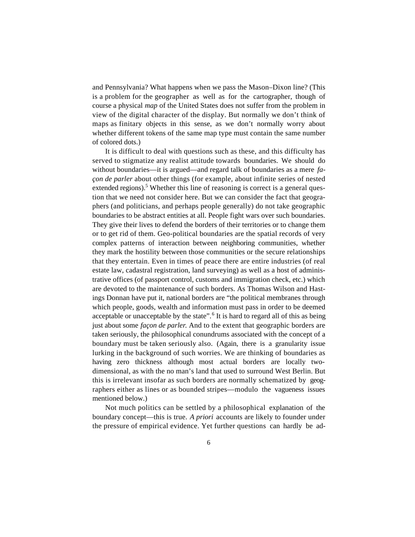and Pennsylvania? What happens when we pass the Mason–Dixon line? (This is a problem for the geographer as well as for the cartographer, though of course a physical *map* of the United States does not suffer from the problem in view of the digital character of the display. But normally we don't think of maps as finitary objects in this sense, as we don't normally worry about whether different tokens of the same map type must contain the same number of colored dots.)

It is difficult to deal with questions such as these, and this difficulty has served to stigmatize any realist attitude towards boundaries. We should do without boundaries—it is argued—and regard talk of boundaries as a mere *façon de parler* about other things (for example, about infinite series of nested extended regions).<sup>5</sup> Whether this line of reasoning is correct is a general question that we need not consider here. But we can consider the fact that geographers (and politicians, and perhaps people generally) do not take geographic boundaries to be abstract entities at all. People fight wars over such boundaries. They give their lives to defend the borders of their territories or to change them or to get rid of them. Geo-political boundaries are the spatial records of very complex patterns of interaction between neighboring communities, whether they mark the hostility between those communities or the secure relationships that they entertain. Even in times of peace there are entire industries (of real estate law, cadastral registration, land surveying) as well as a host of administrative offices (of passport control, customs and immigration check, etc.) which are devoted to the maintenance of such borders. As Thomas Wilson and Hastings Donnan have put it, national borders are "the political membranes through which people, goods, wealth and information must pass in order to be deemed acceptable or unacceptable by the state".<sup>6</sup> It is hard to regard all of this as being just about some *facon de parler*. And to the extent that geographic borders are taken seriously, the philosophical conundrums associated with the concept of a boundary must be taken seriously also. (Again, there is a granularity issue lurking in the background of such worries. We are thinking of boundaries as having zero thickness although most actual borders are locally twodimensional, as with the no man's land that used to surround West Berlin. But this is irrelevant insofar as such borders are normally schematized by geographers either as lines or as bounded stripes—modulo the vagueness issues mentioned below.)

Not much politics can be settled by a philosophical explanation of the boundary concept—this is true. *A priori* accounts are likely to founder under the pressure of empirical evidence. Yet further questions can hardly be ad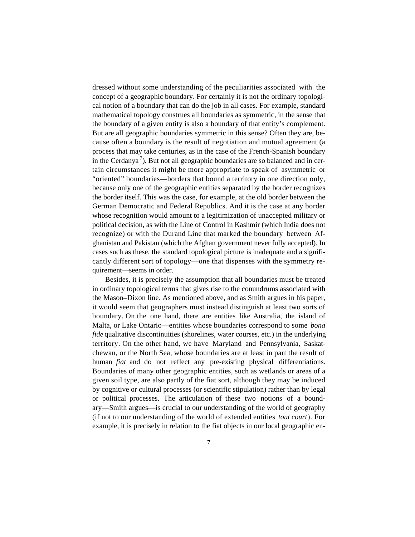dressed without some understanding of the peculiarities associated with the concept of a geographic boundary. For certainly it is not the ordinary topological notion of a boundary that can do the job in all cases. For example, standard mathematical topology construes all boundaries as symmetric, in the sense that the boundary of a given entity is also a boundary of that entity's complement. But are all geographic boundaries symmetric in this sense? Often they are, because often a boundary is the result of negotiation and mutual agreement (a process that may take centuries, as in the case of the French-Spanish boundary in the Cerdanya<sup>7</sup>). But not all geographic boundaries are so balanced and in certain circumstances it might be more appropriate to speak of asymmetric or "oriented" boundaries—borders that bound a territory in one direction only, because only one of the geographic entities separated by the border recognizes the border itself. This was the case, for example, at the old border between the German Democratic and Federal Republics. And it is the case at any border whose recognition would amount to a legitimization of unaccepted military or political decision, as with the Line of Control in Kashmir (which India does not recognize) or with the Durand Line that marked the boundary between Afghanistan and Pakistan (which the Afghan government never fully accepted). In cases such as these, the standard topological picture is inadequate and a significantly different sort of topology—one that dispenses with the symmetry requirement—seems in order.

Besides, it is precisely the assumption that all boundaries must be treated in ordinary topological terms that gives rise to the conundrums associated with the Mason–Dixon line. As mentioned above, and as Smith argues in his paper, it would seem that geographers must instead distinguish at least two sorts of boundary. On the one hand, there are entities like Australia, the island of Malta, or Lake Ontario—entities whose boundaries correspond to some *bona fide* qualitative discontinuities (shorelines, water courses, etc.) in the underlying territory. On the other hand, we have Maryland and Pennsylvania, Saskatchewan, or the North Sea, whose boundaries are at least in part the result of human *fiat* and do not reflect any pre-existing physical differentiations. Boundaries of many other geographic entities, such as wetlands or areas of a given soil type, are also partly of the fiat sort, although they may be induced by cognitive or cultural processes (or scientific stipulation) rather than by legal or political processes. The articulation of these two notions of a boundary—Smith argues—is crucial to our understanding of the world of geography (if not to our understanding of the world of extended entities *tout court*). For example, it is precisely in relation to the fiat objects in our local geographic en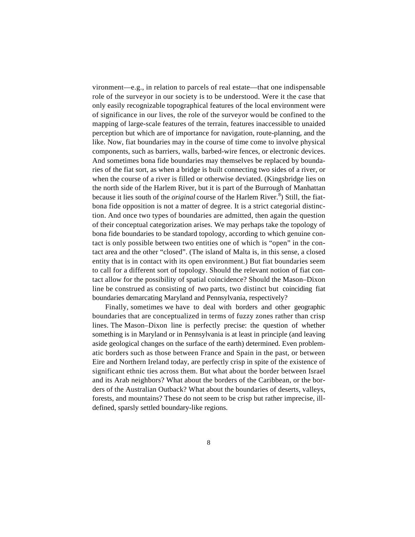vironment—e.g., in relation to parcels of real estate—that one indispensable role of the surveyor in our society is to be understood. Were it the case that only easily recognizable topographical features of the local environment were of significance in our lives, the role of the surveyor would be confined to the mapping of large-scale features of the terrain, features inaccessible to unaided perception but which are of importance for navigation, route-planning, and the like. Now, fiat boundaries may in the course of time come to involve physical components, such as barriers, walls, barbed-wire fences, or electronic devices. And sometimes bona fide boundaries may themselves be replaced by boundaries of the fiat sort, as when a bridge is built connecting two sides of a river, or when the course of a river is filled or otherwise deviated. (Kingsbridge lies on the north side of the Harlem River, but it is part of the Burrough of Manhattan because it lies south of the *original* course of the Harlem River.<sup>8</sup>) Still, the fiatbona fide opposition is not a matter of degree. It is a strict categorial distinction. And once two types of boundaries are admitted, then again the question of their conceptual categorization arises. We may perhaps take the topology of bona fide boundaries to be standard topology, according to which genuine contact is only possible between two entities one of which is "open" in the contact area and the other "closed". (The island of Malta is, in this sense, a closed entity that is in contact with its open environment.) But fiat boundaries seem to call for a different sort of topology. Should the relevant notion of fiat contact allow for the possibility of spatial coincidence? Should the Mason–Dixon line be construed as consisting of *two* parts, two distinct but coinciding fiat boundaries demarcating Maryland and Pennsylvania, respectively?

Finally, sometimes we have to deal with borders and other geographic boundaries that are conceptualized in terms of fuzzy zones rather than crisp lines. The Mason–Dixon line is perfectly precise: the question of whether something is in Maryland or in Pennsylvania is at least in principle (and leaving aside geological changes on the surface of the earth) determined. Even problematic borders such as those between France and Spain in the past, or between Eire and Northern Ireland today, are perfectly crisp in spite of the existence of significant ethnic ties across them. But what about the border between Israel and its Arab neighbors? What about the borders of the Caribbean, or the borders of the Australian Outback? What about the boundaries of deserts, valleys, forests, and mountains? These do not seem to be crisp but rather imprecise, illdefined, sparsly settled boundary-like regions.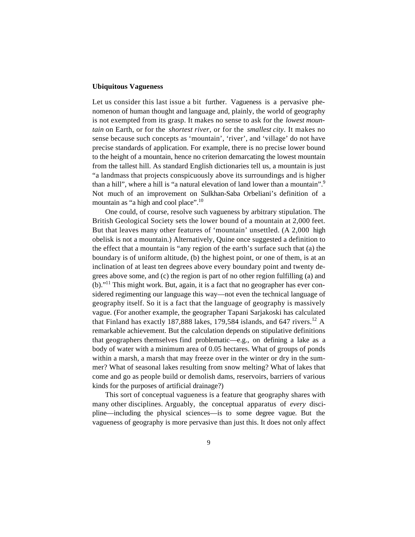#### **Ubiquitous Vagueness**

Let us consider this last issue a bit further. Vagueness is a pervasive phenomenon of human thought and language and, plainly, the world of geography is not exempted from its grasp. It makes no sense to ask for the *lowest mountain* on Earth, or for the *shortest river*, or for the *smallest city*. It makes no sense because such concepts as 'mountain', 'river', and 'village' do not have precise standards of application. For example, there is no precise lower bound to the height of a mountain, hence no criterion demarcating the lowest mountain from the tallest hill. As standard English dictionaries tell us, a mountain is just "a landmass that projects conspicuously above its surroundings and is higher than a hill", where a hill is "a natural elevation of land lower than a mountain".<sup>9</sup> Not much of an improvement on Sulkhan-Saba Orbeliani's definition of a mountain as "a high and cool place".<sup>10</sup>

One could, of course, resolve such vagueness by arbitrary stipulation. The British Geological Society sets the lower bound of a mountain at 2,000 feet. But that leaves many other features of 'mountain' unsettled. (A 2,000 high obelisk is not a mountain.) Alternatively, Quine once suggested a definition to the effect that a mountain is "any region of the earth's surface such that (a) the boundary is of uniform altitude, (b) the highest point, or one of them, is at an inclination of at least ten degrees above every boundary point and twenty degrees above some, and (c) the region is part of no other region fulfilling (a) and (b)."<sup>11</sup> This might work. But, again, it is a fact that no geographer has ever considered regimenting our language this way—not even the technical language of geography itself. So it is a fact that the language of geography is massively vague. (For another example, the geographer Tapani Sarjakoski has calculated that Finland has exactly 187,888 lakes, 179,584 islands, and 647 rivers.<sup>12</sup> A remarkable achievement. But the calculation depends on stipulative definitions that geographers themselves find problematic—e.g., on defining a lake as a body of water with a minimum area of 0.05 hectares. What of groups of ponds within a marsh, a marsh that may freeze over in the winter or dry in the summer? What of seasonal lakes resulting from snow melting? What of lakes that come and go as people build or demolish dams, reservoirs, barriers of various kinds for the purposes of artificial drainage?)

This sort of conceptual vagueness is a feature that geography shares with many other disciplines. Arguably, the conceptual apparatus of *every* discipline—including the physical sciences—is to some degree vague. But the vagueness of geography is more pervasive than just this. It does not only affect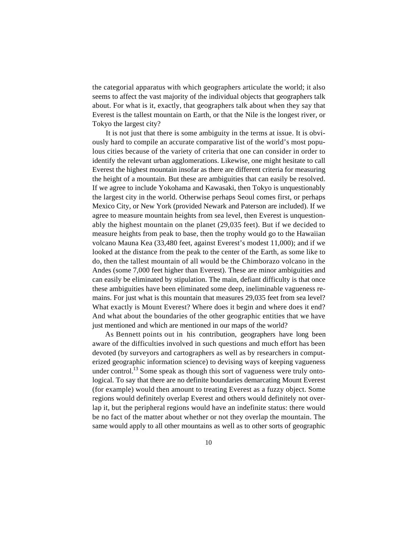the categorial apparatus with which geographers articulate the world; it also seems to affect the vast majority of the individual objects that geographers talk about. For what is it, exactly, that geographers talk about when they say that Everest is the tallest mountain on Earth, or that the Nile is the longest river, or Tokyo the largest city?

It is not just that there is some ambiguity in the terms at issue. It is obviously hard to compile an accurate comparative list of the world's most populous cities because of the variety of criteria that one can consider in order to identify the relevant urban agglomerations. Likewise, one might hesitate to call Everest the highest mountain insofar as there are different criteria for measuring the height of a mountain. But these are ambiguities that can easily be resolved. If we agree to include Yokohama and Kawasaki, then Tokyo is unquestionably the largest city in the world. Otherwise perhaps Seoul comes first, or perhaps Mexico City, or New York (provided Newark and Paterson are included). If we agree to measure mountain heights from sea level, then Everest is unquestionably the highest mountain on the planet (29,035 feet). But if we decided to measure heights from peak to base, then the trophy would go to the Hawaiian volcano Mauna Kea (33,480 feet, against Everest's modest 11,000); and if we looked at the distance from the peak to the center of the Earth, as some like to do, then the tallest mountain of all would be the Chimborazo volcano in the Andes (some 7,000 feet higher than Everest). These are minor ambiguities and can easily be eliminated by stipulation. The main, defiant difficulty is that once these ambiguities have been eliminated some deep, ineliminable vagueness remains. For just what is this mountain that measures 29,035 feet from sea level? What exactly is Mount Everest? Where does it begin and where does it end? And what about the boundaries of the other geographic entities that we have just mentioned and which are mentioned in our maps of the world?

As Bennett points out in his contribution, geographers have long been aware of the difficulties involved in such questions and much effort has been devoted (by surveyors and cartographers as well as by researchers in computerized geographic information science) to devising ways of keeping vagueness under control.<sup>13</sup> Some speak as though this sort of vagueness were truly ontological. To say that there are no definite boundaries demarcating Mount Everest (for example) would then amount to treating Everest as a fuzzy object. Some regions would definitely overlap Everest and others would definitely not overlap it, but the peripheral regions would have an indefinite status: there would be no fact of the matter about whether or not they overlap the mountain. The same would apply to all other mountains as well as to other sorts of geographic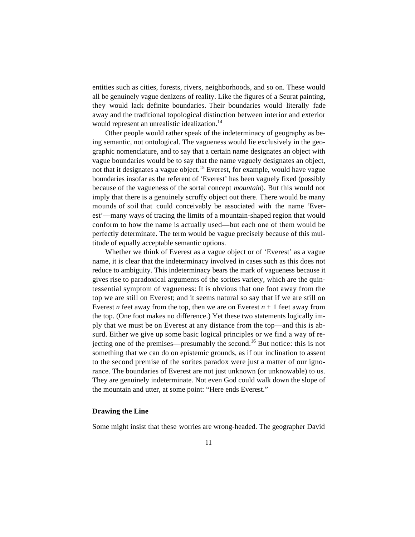entities such as cities, forests, rivers, neighborhoods, and so on. These would all be genuinely vague denizens of reality. Like the figures of a Seurat painting, they would lack definite boundaries. Their boundaries would literally fade away and the traditional topological distinction between interior and exterior would represent an unrealistic idealization.<sup>14</sup>

Other people would rather speak of the indeterminacy of geography as being semantic, not ontological. The vagueness would lie exclusively in the geographic nomenclature, and to say that a certain name designates an object with vague boundaries would be to say that the name vaguely designates an object, not that it designates a vague object.<sup>15</sup> Everest, for example, would have vague boundaries insofar as the referent of 'Everest' has been vaguely fixed (possibly because of the vagueness of the sortal concept *mountain*). But this would not imply that there is a genuinely scruffy object out there. There would be many mounds of soil that could conceivably be associated with the name 'Everest'—many ways of tracing the limits of a mountain-shaped region that would conform to how the name is actually used—but each one of them would be perfectly determinate. The term would be vague precisely because of this multitude of equally acceptable semantic options.

Whether we think of Everest as a vague object or of 'Everest' as a vague name, it is clear that the indeterminacy involved in cases such as this does not reduce to ambiguity. This indeterminacy bears the mark of vagueness because it gives rise to paradoxical arguments of the sorites variety, which are the quintessential symptom of vagueness: It is obvious that one foot away from the top we are still on Everest; and it seems natural so say that if we are still on Everest *n* feet away from the top, then we are on Everest  $n + 1$  feet away from the top. (One foot makes no difference.) Yet these two statements logically imply that we must be on Everest at any distance from the top—and this is absurd. Either we give up some basic logical principles or we find a way of rejecting one of the premises—presumably the second.<sup>16</sup> But notice: this is not something that we can do on epistemic grounds, as if our inclination to assent to the second premise of the sorites paradox were just a matter of our ignorance. The boundaries of Everest are not just unknown (or unknowable) to us. They are genuinely indeterminate. Not even God could walk down the slope of the mountain and utter, at some point: "Here ends Everest."

## **Drawing the Line**

Some might insist that these worries are wrong-headed. The geographer David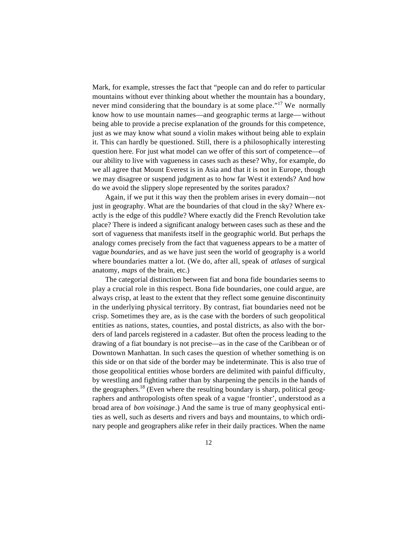Mark, for example, stresses the fact that "people can and do refer to particular mountains without ever thinking about whether the mountain has a boundary, never mind considering that the boundary is at some place."<sup>17</sup> We normally know how to use mountain names—and geographic terms at large— without being able to provide a precise explanation of the grounds for this competence, just as we may know what sound a violin makes without being able to explain it. This can hardly be questioned. Still, there is a philosophically interesting question here. For just what model can we offer of this sort of competence—of our ability to live with vagueness in cases such as these? Why, for example, do we all agree that Mount Everest is in Asia and that it is not in Europe, though we may disagree or suspend judgment as to how far West it extends? And how do we avoid the slippery slope represented by the sorites paradox?

Again, if we put it this way then the problem arises in every domain—not just in geography. What are the boundaries of that cloud in the sky? Where exactly is the edge of this puddle? Where exactly did the French Revolution take place? There is indeed a significant analogy between cases such as these and the sort of vagueness that manifests itself in the geographic world. But perhaps the analogy comes precisely from the fact that vagueness appears to be a matter of vague *boundaries*, and as we have just seen the world of geography is a world where boundaries matter a lot. (We do, after all, speak of *atlases* of surgical anatomy, *maps* of the brain, etc.)

The categorial distinction between fiat and bona fide boundaries seems to play a crucial role in this respect. Bona fide boundaries, one could argue, are always crisp, at least to the extent that they reflect some genuine discontinuity in the underlying physical territory. By contrast, fiat boundaries need not be crisp. Sometimes they are, as is the case with the borders of such geopolitical entities as nations, states, counties, and postal districts, as also with the borders of land parcels registered in a cadaster. But often the process leading to the drawing of a fiat boundary is not precise—as in the case of the Caribbean or of Downtown Manhattan. In such cases the question of whether something is on this side or on that side of the border may be indeterminate. This is also true of those geopolitical entities whose borders are delimited with painful difficulty, by wrestling and fighting rather than by sharpening the pencils in the hands of the geographers.<sup>18</sup> (Even where the resulting boundary is sharp, political geographers and anthropologists often speak of a vague 'frontier', understood as a broad area of *bon voisinage*.) And the same is true of many geophysical entities as well, such as deserts and rivers and bays and mountains, to which ordinary people and geographers alike refer in their daily practices. When the name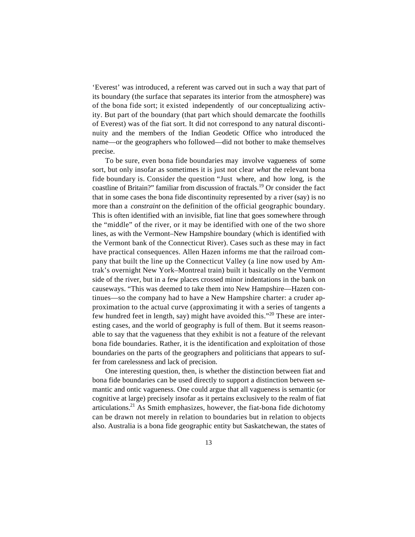'Everest' was introduced, a referent was carved out in such a way that part of its boundary (the surface that separates its interior from the atmosphere) was of the bona fide sort; it existed independently of our conceptualizing activity. But part of the boundary (that part which should demarcate the foothills of Everest) was of the fiat sort. It did not correspond to any natural discontinuity and the members of the Indian Geodetic Office who introduced the name—or the geographers who followed—did not bother to make themselves precise.

To be sure, even bona fide boundaries may involve vagueness of some sort, but only insofar as sometimes it is just not clear *what* the relevant bona fide boundary is. Consider the question "Just where, and how long, is the coastline of Britain?" familiar from discussion of fractals.<sup>19</sup> Or consider the fact that in some cases the bona fide discontinuity represented by a river (say) is no more than a *constraint* on the definition of the official geographic boundary. This is often identified with an invisible, fiat line that goes somewhere through the "middle" of the river, or it may be identified with one of the two shore lines, as with the Vermont–New Hampshire boundary (which is identified with the Vermont bank of the Connecticut River). Cases such as these may in fact have practical consequences. Allen Hazen informs me that the railroad company that built the line up the Connecticut Valley (a line now used by Amtrak's overnight New York–Montreal train) built it basically on the Vermont side of the river, but in a few places crossed minor indentations in the bank on causeways. "This was deemed to take them into New Hampshire—Hazen continues—so the company had to have a New Hampshire charter: a cruder approximation to the actual curve (approximating it with a series of tangents a few hundred feet in length, say) might have avoided this."<sup>20</sup> These are interesting cases, and the world of geography is full of them. But it seems reasonable to say that the vagueness that they exhibit is not a feature of the relevant bona fide boundaries. Rather, it is the identification and exploitation of those boundaries on the parts of the geographers and politicians that appears to suffer from carelessness and lack of precision.

One interesting question, then, is whether the distinction between fiat and bona fide boundaries can be used directly to support a distinction between semantic and ontic vagueness. One could argue that all vagueness is semantic (or cognitive at large) precisely insofar as it pertains exclusively to the realm of fiat articulations.<sup>21</sup> As Smith emphasizes, however, the fiat-bona fide dichotomy can be drawn not merely in relation to boundaries but in relation to objects also. Australia is a bona fide geographic entity but Saskatchewan, the states of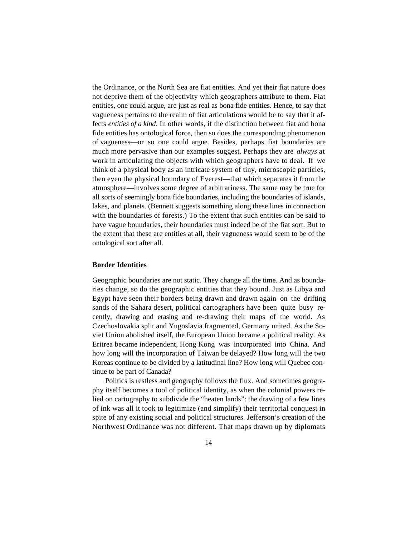the Ordinance, or the North Sea are fiat entities. And yet their fiat nature does not deprive them of the objectivity which geographers attribute to them. Fiat entities, one could argue, are just as real as bona fide entities. Hence, to say that vagueness pertains to the realm of fiat articulations would be to say that it affects *entities of a kind*. In other words, if the distinction between fiat and bona fide entities has ontological force, then so does the corresponding phenomenon of vagueness—or so one could argue. Besides, perhaps fiat boundaries are much more pervasive than our examples suggest. Perhaps they are *always* at work in articulating the objects with which geographers have to deal. If we think of a physical body as an intricate system of tiny, microscopic particles, then even the physical boundary of Everest—that which separates it from the atmosphere—involves some degree of arbitrariness. The same may be true for all sorts of seemingly bona fide boundaries, including the boundaries of islands, lakes, and planets. (Bennett suggests something along these lines in connection with the boundaries of forests.) To the extent that such entities can be said to have vague boundaries, their boundaries must indeed be of the fiat sort. But to the extent that these are entities at all, their vagueness would seem to be of the ontological sort after all.

#### **Border Identities**

Geographic boundaries are not static. They change all the time. And as boundaries change, so do the geographic entities that they bound. Just as Libya and Egypt have seen their borders being drawn and drawn again on the drifting sands of the Sahara desert, political cartographers have been quite busy recently, drawing and erasing and re-drawing their maps of the world. As Czechoslovakia split and Yugoslavia fragmented, Germany united. As the Soviet Union abolished itself, the European Union became a political reality. As Eritrea became independent, Hong Kong was incorporated into China. And how long will the incorporation of Taiwan be delayed? How long will the two Koreas continue to be divided by a latitudinal line? How long will Quebec continue to be part of Canada?

Politics is restless and geography follows the flux. And sometimes geography itself becomes a tool of political identity, as when the colonial powers relied on cartography to subdivide the "heaten lands": the drawing of a few lines of ink was all it took to legitimize (and simplify) their territorial conquest in spite of any existing social and political structures. Jefferson's creation of the Northwest Ordinance was not different. That maps drawn up by diplomats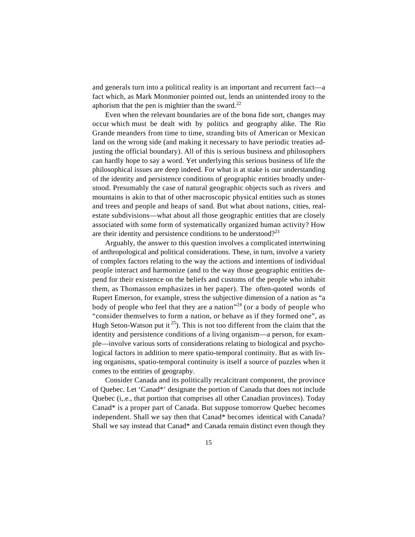and generals turn into a political reality is an important and recurrent fact—a fact which, as Mark Monmonier pointed out, lends an unintended irony to the aphorism that the pen is mightier than the sward.<sup>22</sup>

Even when the relevant boundaries are of the bona fide sort, changes may occur which must be dealt with by politics and geography alike. The Rio Grande meanders from time to time, stranding bits of American or Mexican land on the wrong side (and making it necessary to have periodic treaties adjusting the official boundary). All of this is serious business and philosophers can hardly hope to say a word. Yet underlying this serious business of life the philosophical issues are deep indeed. For what is at stake is our understanding of the identity and persistence conditions of geographic entities broadly understood. Presumably the case of natural geographic objects such as rivers and mountains is akin to that of other macroscopic physical entities such as stones and trees and people and heaps of sand. But what about nations, cities, realestate subdivisions—what about all those geographic entities that are closely associated with some form of systematically organized human activity? How are their identity and persistence conditions to be understood?<sup>23</sup>

Arguably, the answer to this question involves a complicated intertwining of anthropological and political considerations. These, in turn, involve a variety of complex factors relating to the way the actions and intentions of individual people interact and harmonize (and to the way those geographic entities depend for their existence on the beliefs and customs of the people who inhabit them, as Thomasson emphasizes in her paper). The often-quoted words of Rupert Emerson, for example, stress the subjective dimension of a nation as "a body of people who feel that they are a nation"<sup>24</sup> (or a body of people who "consider themselves to form a nation, or behave as if they formed one", as Hugh Seton-Watson put it  $^{25}$ ). This is not too different from the claim that the identity and persistence conditions of a living organism—a person, for example—involve various sorts of considerations relating to biological and psychological factors in addition to mere spatio-temporal continuity. But as with living organisms, spatio-temporal continuity is itself a source of puzzles when it comes to the entities of geography.

Consider Canada and its politically recalcitrant component, the province of Quebec. Let 'Canad\*' designate the portion of Canada that does not include Quebec (i,.e., that portion that comprises all other Canadian provinces). Today Canad\* is a proper part of Canada. But suppose tomorrow Quebec becomes independent. Shall we say then that Canad\* becomes identical with Canada? Shall we say instead that Canad\* and Canada remain distinct even though they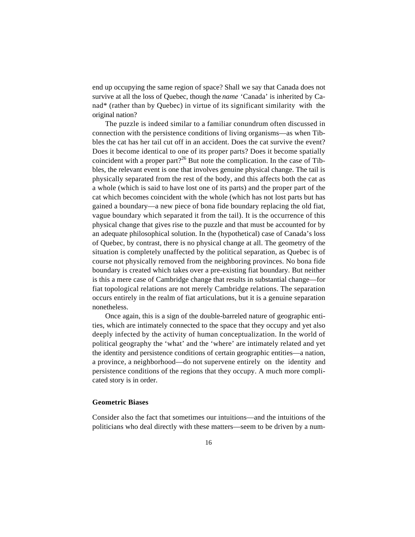end up occupying the same region of space? Shall we say that Canada does not survive at all the loss of Quebec, though the *name* 'Canada' is inherited by Canad\* (rather than by Quebec) in virtue of its significant similarity with the original nation?

The puzzle is indeed similar to a familiar conundrum often discussed in connection with the persistence conditions of living organisms—as when Tibbles the cat has her tail cut off in an accident. Does the cat survive the event? Does it become identical to one of its proper parts? Does it become spatially coincident with a proper part?<sup>26</sup> But note the complication. In the case of Tibbles, the relevant event is one that involves genuine physical change. The tail is physically separated from the rest of the body, and this affects both the cat as a whole (which is said to have lost one of its parts) and the proper part of the cat which becomes coincident with the whole (which has not lost parts but has gained a boundary—a new piece of bona fide boundary replacing the old fiat, vague boundary which separated it from the tail). It is the occurrence of this physical change that gives rise to the puzzle and that must be accounted for by an adequate philosophical solution. In the (hypothetical) case of Canada's loss of Quebec, by contrast, there is no physical change at all. The geometry of the situation is completely unaffected by the political separation, as Quebec is of course not physically removed from the neighboring provinces. No bona fide boundary is created which takes over a pre-existing fiat boundary. But neither is this a mere case of Cambridge change that results in substantial change—for fiat topological relations are not merely Cambridge relations. The separation occurs entirely in the realm of fiat articulations, but it is a genuine separation nonetheless.

Once again, this is a sign of the double-barreled nature of geographic entities, which are intimately connected to the space that they occupy and yet also deeply infected by the activity of human conceptualization. In the world of political geography the 'what' and the 'where' are intimately related and yet the identity and persistence conditions of certain geographic entities—a nation, a province, a neighborhood—do not supervene entirely on the identity and persistence conditions of the regions that they occupy. A much more complicated story is in order.

## **Geometric Biases**

Consider also the fact that sometimes our intuitions—and the intuitions of the politicians who deal directly with these matters—seem to be driven by a num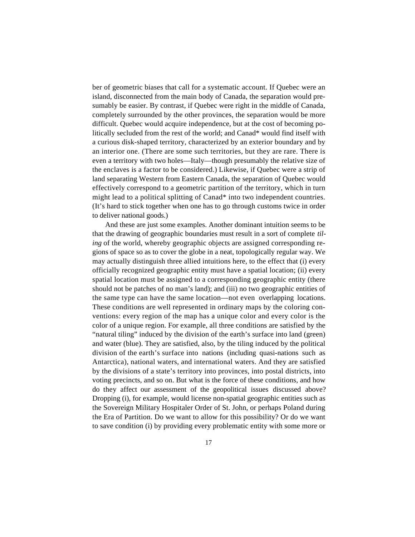ber of geometric biases that call for a systematic account. If Quebec were an island, disconnected from the main body of Canada, the separation would presumably be easier. By contrast, if Quebec were right in the middle of Canada, completely surrounded by the other provinces, the separation would be more difficult. Quebec would acquire independence, but at the cost of becoming politically secluded from the rest of the world; and Canad\* would find itself with a curious disk-shaped territory, characterized by an exterior boundary and by an interior one. (There are some such territories, but they are rare. There is even a territory with two holes—Italy—though presumably the relative size of the enclaves is a factor to be considered.) Likewise, if Quebec were a strip of land separating Western from Eastern Canada, the separation of Quebec would effectively correspond to a geometric partition of the territory, which in turn might lead to a political splitting of Canad\* into two independent countries. (It's hard to stick together when one has to go through customs twice in order to deliver national goods.)

And these are just some examples. Another dominant intuition seems to be that the drawing of geographic boundaries must result in a sort of complete *tiling* of the world, whereby geographic objects are assigned corresponding regions of space so as to cover the globe in a neat, topologically regular way. We may actually distinguish three allied intuitions here, to the effect that (i) every officially recognized geographic entity must have a spatial location; (ii) every spatial location must be assigned to a corresponding geographic entity (there should not be patches of no man's land); and (iii) no two geographic entities of the same type can have the same location—not even overlapping locations. These conditions are well represented in ordinary maps by the coloring conventions: every region of the map has a unique color and every color is the color of a unique region. For example, all three conditions are satisfied by the "natural tiling" induced by the division of the earth's surface into land (green) and water (blue). They are satisfied, also, by the tiling induced by the political division of the earth's surface into nations (including quasi-nations such as Antarctica), national waters, and international waters. And they are satisfied by the divisions of a state's territory into provinces, into postal districts, into voting precincts, and so on. But what is the force of these conditions, and how do they affect our assessment of the geopolitical issues discussed above? Dropping (i), for example, would license non-spatial geographic entities such as the Sovereign Military Hospitaler Order of St. John, or perhaps Poland during the Era of Partition. Do we want to allow for this possibility? Or do we want to save condition (i) by providing every problematic entity with some more or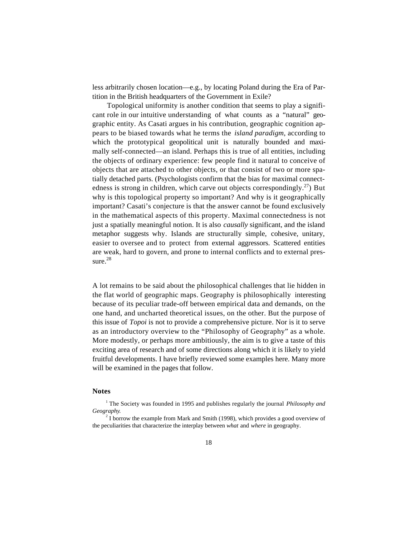less arbitrarily chosen location—e.g., by locating Poland during the Era of Partition in the British headquarters of the Government in Exile?

Topological uniformity is another condition that seems to play a significant role in our intuitive understanding of what counts as a "natural" geographic entity. As Casati argues in his contribution, geographic cognition appears to be biased towards what he terms the *island paradigm*, according to which the prototypical geopolitical unit is naturally bounded and maximally self-connected—an island. Perhaps this is true of all entities, including the objects of ordinary experience: few people find it natural to conceive of objects that are attached to other objects, or that consist of two or more spatially detached parts. (Psychologists confirm that the bias for maximal connectedness is strong in children, which carve out objects correspondingly.<sup>27</sup>) But why is this topological property so important? And why is it geographically important? Casati's conjecture is that the answer cannot be found exclusively in the mathematical aspects of this property. Maximal connectedness is not just a spatially meaningful notion. It is also *causally* significant, and the island metaphor suggests why. Islands are structurally simple, cohesive, unitary, easier to oversee and to protect from external aggressors. Scattered entities are weak, hard to govern, and prone to internal conflicts and to external pressure.<sup>28</sup>

A lot remains to be said about the philosophical challenges that lie hidden in the flat world of geographic maps. Geography is philosophically interesting because of its peculiar trade-off between empirical data and demands, on the one hand, and uncharted theoretical issues, on the other. But the purpose of this issue of *Topoi* is not to provide a comprehensive picture. Nor is it to serve as an introductory overview to the "Philosophy of Geography" as a whole. More modestly, or perhaps more ambitiously, the aim is to give a taste of this exciting area of research and of some directions along which it is likely to yield fruitful developments. I have briefly reviewed some examples here. Many more will be examined in the pages that follow.

# **Notes**

<sup>1</sup> The Society was founded in 1995 and publishes regularly the journal *Philosophy and Geography*.

 $2^{2}$  I borrow the example from Mark and Smith (1998), which provides a good overview of the peculiarities that characterize the interplay between *what* and *where* in geography.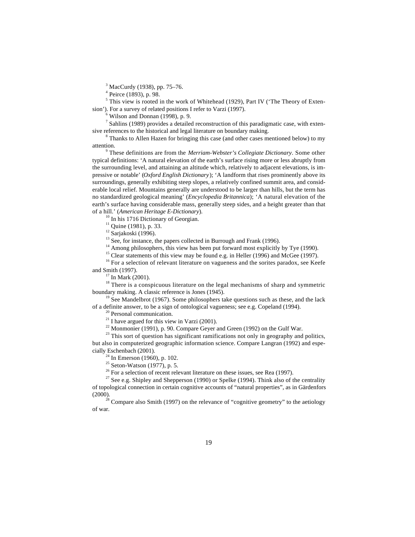<sup>3</sup> MacCurdy (1938), pp. 75–76.

4 Peirce (1893), p. 98.

<sup>5</sup> This view is rooted in the work of Whitehead (1929), Part IV ('The Theory of Extension'). For a survey of related positions I refer to Varzi (1997).

 $6$  Wilson and Donnan (1998), p. 9.

 $^7$  Sahlins (1989) provides a detailed reconstruction of this paradigmatic case, with extensive references to the historical and legal literature on boundary making.

 $8$  Thanks to Allen Hazen for bringing this case (and other cases mentioned below) to my attention.

9 These definitions are from the *Merriam-Webster's Collegiate Dictionary*. Some other typical definitions: 'A natural elevation of the earth's surface rising more or less abruptly from the surrounding level, and attaining an altitude which, relatively to adjacent elevations, is impressive or notable' (*Oxford English Dictionary*); 'A landform that rises prominently above its surroundings, generally exhibiting steep slopes, a relatively confined summit area, and considerable local relief. Mountains generally are understood to be larger than hills, but the term has no standardized geological meaning' (*Encyclopedia Britannica*); 'A natural elevation of the earth's surface having considerable mass, generally steep sides, and a height greater than that of a hill.' (*American Heritage E-Dictionary*).

 $10$  In his 1716 Dictionary of Georgian.

 $11$  Quine (1981), p. 33.

<sup>12</sup> Sarjakoski (1996).

<sup>13</sup> See, for instance, the papers collected in Burrough and Frank (1996).

<sup>14</sup> Among philosophers, this view has been put forward most explicitly by Tye (1990).

<sup>15</sup> Clear statements of this view may be found e.g. in Heller (1996) and McGee (1997).

<sup>16</sup> For a selection of relevant literature on vagueness and the sorites paradox, see Keefe and Smith (1997).

<sup>17</sup> In Mark (2001).

<sup>18</sup> There is a conspicuous literature on the legal mechanisms of sharp and symmetric boundary making. A classic reference is Jones (1945).

 $19$  See Mandelbrot (1967). Some philosophers take questions such as these, and the lack of a definite answer, to be a sign of ontological vagueness; see e.g. Copeland (1994).

<sup>20</sup> Personal communication.

 $21$  I have argued for this view in Varzi (2001).

<sup>22</sup> Monmonier (1991), p. 90. Compare Geyer and Green (1992) on the Gulf War.

 $23$  This sort of question has significant ramifications not only in geography and politics, but also in computerized geographic information science. Compare Langran (1992) and especially Eschenbach (2001).

<sup>24</sup> In Emerson (1960), p. 102.

 $25$  Seton-Watson (1977), p. 5.

 $26$  For a selection of recent relevant literature on these issues, see Rea (1997).

<sup>27</sup> See e.g. Shipley and Shepperson (1990) or Spelke (1994). Think also of the centrality of topological connection in certain cognitive accounts of "natural properties", as in Gärdenfors (2000).

<sup>28</sup> Compare also Smith (1997) on the relevance of "cognitive geometry" to the aetiology of war.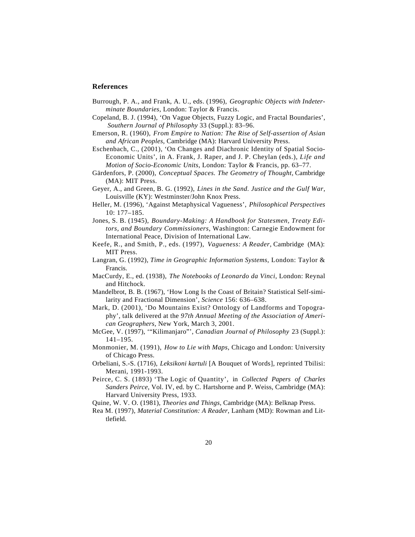#### **References**

- Burrough, P. A., and Frank, A. U., eds. (1996), *Geographic Objects with Indeterminate Boundaries*, London: Taylor & Francis.
- Copeland, B. J. (1994), 'On Vague Objects, Fuzzy Logic, and Fractal Boundaries', *Southern Journal of Philosophy* 33 (Suppl.): 83–96.
- Emerson, R. (1960), *From Empire to Nation: The Rise of Self-assertion of Asian and African Peoples*, Cambridge (MA): Harvard University Press.
- Eschenbach, C., (2001), 'On Changes and Diachronic Identity of Spatial Socio-Economic Units', in A. Frank, J. Raper, and J. P. Cheylan (eds.), *Life and Motion of Socio-Economic Units*, London: Taylor & Francis, pp. 63–77.
- Gärdenfors, P. (2000), *Conceptual Spaces. The Geometry of Thought*, Cambridge (MA): MIT Press.
- Geyer, A., and Green, B. G. (1992), *Lines in the Sand. Justice and the Gulf War*, Louisville (KY): Westminster/John Knox Press.
- Heller, M. (1996), 'Against Metaphysical Vagueness', *Philosophical Perspectives* 10: 177–185.
- Jones, S. B. (1945), *Boundary-Making: A Handbook for Statesmen, Treaty Editors, and Boundary Commissioners*, Washington: Carnegie Endowment for International Peace, Division of International Law.
- Keefe, R., and Smith, P., eds. (1997), *Vagueness: A Reader*, Cambridge (MA): MIT Press.
- Langran, G. (1992), *Time in Geographic Information Systems*, London: Taylor & Francis.
- MacCurdy, E., ed. (1938), *The Notebooks of Leonardo da Vinci*, London: Reynal and Hitchock.
- Mandelbrot, B. B. (1967), 'How Long Is the Coast of Britain? Statistical Self-similarity and Fractional Dimension', *Science* 156: 636–638.
- Mark, D. (2001), 'Do Mountains Exist? Ontology of Landforms and Topography', talk delivered at the *97th Annual Meeting of the Association of American Geographers*, New York, March 3, 2001.
- McGee, V. (1997), '"Kilimanjaro"', *Canadian Journal of Philosophy* 23 (Suppl.): 141–195.
- Monmonier, M. (1991), *How to Lie with Maps*, Chicago and London: University of Chicago Press.
- Orbeliani, S.-S. (1716), *Leksikoni kartuli* [A Bouquet of Words], reprinted Tbilisi: Merani, 1991-1993.
- Peirce, C. S. (1893) 'The Logic of Quantity', in *Collected Papers of Charles Sanders Peirce*, Vol. IV, ed. by C. Hartshorne and P. Weiss, Cambridge (MA): Harvard University Press, 1933.
- Quine, W. V. O. (1981), *Theories and Things*, Cambridge (MA): Belknap Press.
- Rea M. (1997), *Material Constitution: A Reader*, Lanham (MD): Rowman and Littlefield.